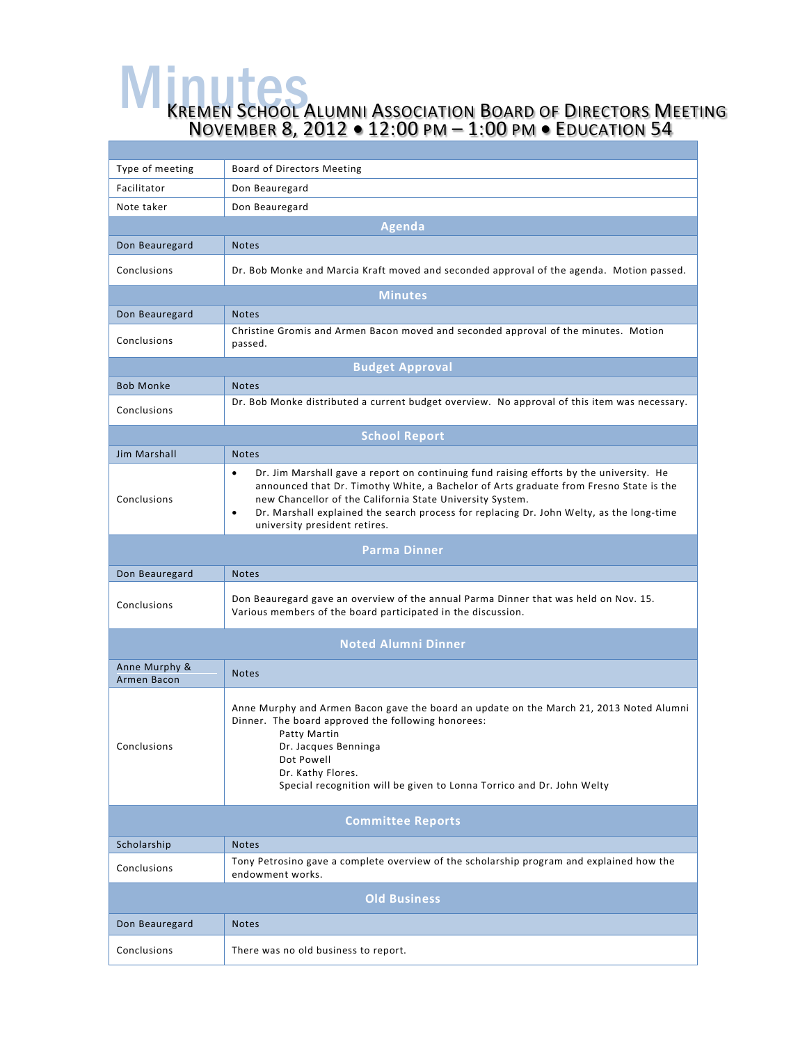## **MINUTES**<br>KREMEN SCHOOL ALUMNI ASSOCIATION BOARD OF DIRECTORS MEETING NOVEMBER 8, 2012 • 12:00 PM – 1:00 PM • EDUCATION 54

| Type of meeting              | Board of Directors Meeting                                                                                                                                                                                                                                                                                                                                                                    |  |
|------------------------------|-----------------------------------------------------------------------------------------------------------------------------------------------------------------------------------------------------------------------------------------------------------------------------------------------------------------------------------------------------------------------------------------------|--|
| Facilitator                  | Don Beauregard                                                                                                                                                                                                                                                                                                                                                                                |  |
| Note taker                   | Don Beauregard                                                                                                                                                                                                                                                                                                                                                                                |  |
| Agenda                       |                                                                                                                                                                                                                                                                                                                                                                                               |  |
| Don Beauregard               | <b>Notes</b>                                                                                                                                                                                                                                                                                                                                                                                  |  |
| Conclusions                  | Dr. Bob Monke and Marcia Kraft moved and seconded approval of the agenda. Motion passed.                                                                                                                                                                                                                                                                                                      |  |
|                              | <b>Minutes</b>                                                                                                                                                                                                                                                                                                                                                                                |  |
| Don Beauregard               | <b>Notes</b>                                                                                                                                                                                                                                                                                                                                                                                  |  |
| Conclusions                  | Christine Gromis and Armen Bacon moved and seconded approval of the minutes. Motion<br>passed.                                                                                                                                                                                                                                                                                                |  |
|                              | <b>Budget Approval</b>                                                                                                                                                                                                                                                                                                                                                                        |  |
| <b>Bob Monke</b>             | <b>Notes</b>                                                                                                                                                                                                                                                                                                                                                                                  |  |
| Conclusions                  | Dr. Bob Monke distributed a current budget overview. No approval of this item was necessary.                                                                                                                                                                                                                                                                                                  |  |
| <b>School Report</b>         |                                                                                                                                                                                                                                                                                                                                                                                               |  |
| Jim Marshall                 | <b>Notes</b>                                                                                                                                                                                                                                                                                                                                                                                  |  |
| Conclusions                  | Dr. Jim Marshall gave a report on continuing fund raising efforts by the university. He<br>٠<br>announced that Dr. Timothy White, a Bachelor of Arts graduate from Fresno State is the<br>new Chancellor of the California State University System.<br>Dr. Marshall explained the search process for replacing Dr. John Welty, as the long-time<br>$\bullet$<br>university president retires. |  |
| <b>Parma Dinner</b>          |                                                                                                                                                                                                                                                                                                                                                                                               |  |
| Don Beauregard               | <b>Notes</b>                                                                                                                                                                                                                                                                                                                                                                                  |  |
| Conclusions                  | Don Beauregard gave an overview of the annual Parma Dinner that was held on Nov. 15.<br>Various members of the board participated in the discussion.                                                                                                                                                                                                                                          |  |
| <b>Noted Alumni Dinner</b>   |                                                                                                                                                                                                                                                                                                                                                                                               |  |
| Anne Murphy &<br>Armen Bacon | <b>Notes</b>                                                                                                                                                                                                                                                                                                                                                                                  |  |
| Conclusions                  | Anne Murphy and Armen Bacon gave the board an update on the March 21, 2013 Noted Alumni<br>Dinner. The board approved the following honorees:<br>Patty Martin<br>Dr. Jacques Benninga<br>Dot Powell<br>Dr. Kathy Flores.<br>Special recognition will be given to Lonna Torrico and Dr. John Welty                                                                                             |  |
| <b>Committee Reports</b>     |                                                                                                                                                                                                                                                                                                                                                                                               |  |
| Scholarship                  | <b>Notes</b>                                                                                                                                                                                                                                                                                                                                                                                  |  |
| Conclusions                  | Tony Petrosino gave a complete overview of the scholarship program and explained how the<br>endowment works.                                                                                                                                                                                                                                                                                  |  |
| <b>Old Business</b>          |                                                                                                                                                                                                                                                                                                                                                                                               |  |
| Don Beauregard               | <b>Notes</b>                                                                                                                                                                                                                                                                                                                                                                                  |  |
| Conclusions                  | There was no old business to report.                                                                                                                                                                                                                                                                                                                                                          |  |